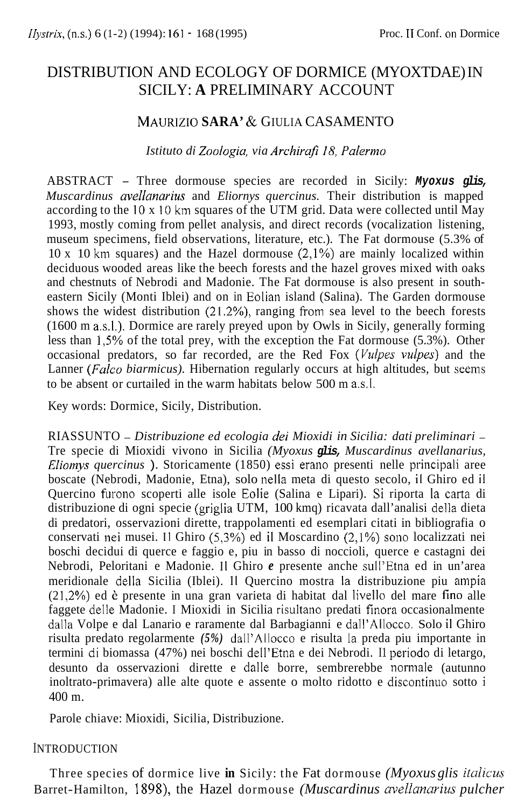# DISTRIBUTION AND ECOLOGY OF DORMICE (MYOXTDAE) IN SICILY: **A** PRELIMINARY ACCOUNT

# MAURIZIO **SARA'** & GIULIA CASAMENTO

#### *Istituto di Zoologia, via Archirafi IS, Palerrno*

ABSTRACT - Three dormouse species are recorded in Sicily: *Myoxus glis, Muscardinus uvellunarius* and *Eliornys quercinus.* Their distribution is mapped according to the 10 x 10 km squares of the UTM grid. Data were collected until May 1993, mostly coming from pellet analysis, and direct records (vocalization listening, museum specimens, field observations, literature, etc.). The Fat dormouse (5.3% of 10 x 10 km squares) and the Hazel dormouse  $(2,1\%)$  are mainly localized within deciduous wooded areas like the beech forests and the hazel groves mixed with oaks and chestnuts of Nebrodi and Madonie. The Fat dormouse is also present in southeastern Sicily (Monti Iblei) and on in Eolian island (Salina). The Garden dormouse shows the widest distribution (21.2%), ranging from sea level to the beech forests (1600 m a.s.1.). Dormice are rarely preyed upon by Owls in Sicily, generally forming less than 1,5% of the total prey, with the exception the Fat dormouse (5.3%). Other occasional predators, so far recorded, are the Red Fox *(Vulpes vulpes)* and the Lanner *(Falco biarmicus)*. Hibernation regularly occurs at high altitudes, but seems to be absent or curtailed in the warm habitats below 500 m a.s.l.

Key words: Dormice, Sicily, Distribution.

RIASSUNTO - *Distribuzione ed ecologia dei Mioxidi in Sicilia: dati preliminari* - Tre specie di Mioxidi vivono in Sicilia *(Myoxus glis, Muscardinus avellanarius, Eliomys quercinus* ). Storicamente (1850) essi erano presenti nelle principali aree boscate (Nebrodi, Madonie, Etna), solo nella meta di questo secolo, il Ghiro ed il Quercino furono scoperti alle isole Eolie (Salina e Lipari). Si riporta la carta di distribuzione di ogni specie (griglia UTM, 100 kmq) ricavata dall'analisi della dieta di predatori, osservazioni dirette, trappolamenti ed esemplari citati in bibliografia o conservati nei musei. II Ghiro (5,3%) ed il Moscardino (2,1%) Sono localizzati nei boschi decidui di querce e faggio e, piu in basso di noccioli, querce e castagni dei Nebrodi, Peloritani e Madonie. II Ghiro *e* presente anche sull'Etna ed in un'area meridionale della Sicilia (Iblei). II Quercino mostra la distribuzione piu ampia (2 I ,2%) ed *6* presente in una gran varieta di habitat dal livello del mare fin0 alle faggete delle Madonie. I Mioxidi in Sicilia risultano predati finora occasionalmente dalla Volpe e dal Lanario e raramente dal Barbagianni e dall'Allocco. Solo il Ghiro risulta predato regolarmente *(5%)* dall'Allocco e risulta la preda piu importante in termini di biomassa (47%) nei boschi dell'Etna e dei Nebrodi. Il periodo di letargo, desunto da osservazioni dirette e dalle borre, sembrerebbe normale (autunno inoltrato-primavera) alle alte quote e assente o molto ridotto e discontinuo sotto i 400 m.

Parole chiave: Mioxidi, Sicilia, Distribuzione.

#### INTRODUCTION

Three species of dormice live **in** Sicily: the Fat dormouse *(Myoxus glis italicus*  Barret-Hamilton, 1 **898),** the Hazel dormouse *(Muscardinus avellanarius pulcher*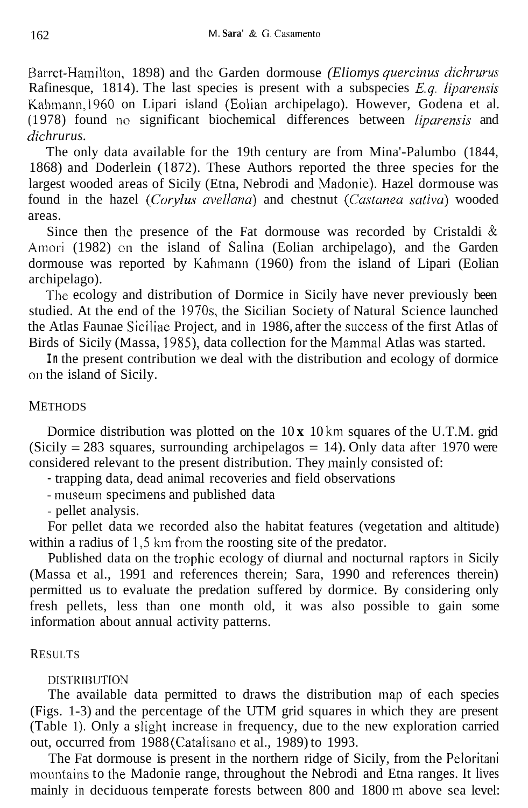Barret-Hamilton, 1898) and the Garden dormouse *(Eliomys quercinus dichrurus* Rafinesque, 1814). The last species is present with a subspecies *E.g. liparensis* Kahmann,l960 on Lipari island (Eolian archipelago). However, Godena et al. (1 978) found no significant biochemical differences between *liparensis* and *dic hrurus.* 

The only data available for the 19th century are from Mina'-Palumbo (1844, 1868) and Doderlein (1872). These Authors reported the three species for the largest wooded areas of Sicily (Etna, Nebrodi and Madonie). Hazel dormouse was found in the hazel *(Corylus avellana)* and chestnut *(Castanea sativa)* wooded areas.

Since then the presence of the Fat dormouse was recorded by Cristaldi  $\&$ Amori (1982) on the island of Salina (Eolian archipelago), and the Garden dormouse was reported by Kahmann (1960) from the island of Lipari (Eolian archipelago).

The ecology and distribution of Dormice in Sicily have never previously been studied. At the end of the 1970s, the Sicilian Society of Natural Science launched the Atlas Faunae Siciliae Project, and in 1986, after the success of the first Atlas of Birds of Sicily (Massa, 1985), data collection for the Mammal Atlas was started.

**In** the present contribution we deal with the distribution and ecology of dormice on the island of Sicily.

# **METHODS**

Dormice distribution was plotted on the 10 **x** 10 km squares of the U.T.M. grid (Sicily  $= 283$  squares, surrounding archipelagos  $= 14$ ). Only data after 1970 were considered relevant to the present distribution. They mainly consisted of:

- trapping data, dead animal recoveries and field observations

- museum specimens and published data

- pellet analysis.

For pellet data we recorded also the habitat features (vegetation and altitude) within a radius of  $1.5 \text{ km}$  from the roosting site of the predator.

Published data on the trophic ecology of diurnal and nocturnal raptors in Sicily (Massa et al., 1991 and references therein; Sara, 1990 and references therein) permitted us to evaluate the predation suffered by dormice. By considering only fresh pellets, less than one month old, it was also possible to gain some information about annual activity patterns.

## RESULTS

## DISTRIBUTION

The available data permitted to draws the distribution map of each species (Figs. 1-3) and the percentage of the UTM grid squares in which they are present (Table 1). Only a slight increase in frequency, due to the new exploration carried out, occurred from 1988 (Catalisano et al., 1989) to 1993.

The Fat dormouse is present in the northern ridge of Sicily, from the Peloritani mountains to the Madonie range, throughout the Nebrodi and Etna ranges. It lives mainly in deciduous temperate forests between 800 and 1800 in above sea level: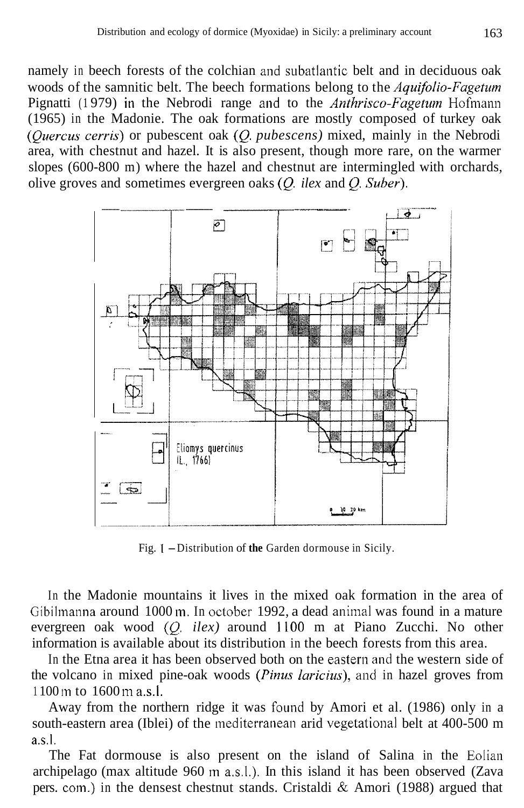namely in beech forests of the colchian and subatlantic belt and in deciduous oak woods of the samnitic belt. The beech formations belong to the *Aquifolio-Fagetum*  Pignatti (1979) in the Nebrodi range and to the *Anthrisco-Fagetum* Hofmann (1965) in the Madonie. The oak formations are mostly composed of turkey oak *(Quercus cerris)* or pubescent oak *(Q. pubescens)* mixed, mainly in the Nebrodi area, with chestnut and hazel. It is also present, though more rare, on the warmer slopes (600-800 m) where the hazel and chestnut are intermingled with orchards, olive groves and sometimes evergreen oaks *(Q ilex* and *Q. Suber).* 



Fig. **1** -Distribution of **the** Garden dormouse in Sicily.

In the Madonie mountains it lives in the mixed oak formation in the area of Gibilmanna around 1000 **in.** In October 1992, a dead animal was found in a mature evergreen oak wood *(Q. ilex)* around I100 m at Piano Zucchi. No other information is available about its distribution in the beech forests from this area.

In the Etna area it has been observed both on the eastern and the western side of the volcano in mixed pine-oak woods (*Pinus laricius*), and in hazel groves from  $1100 \text{ m}$  to  $1600 \text{ m}$  a.s.

Away from the northern ridge it was found by Amori et al. (1986) only in a south-eastern area (Iblei) of the mediterranean arid vegetational belt at 400-500 m a.s.1.

The Fat dormouse is also present on the island of Salina in the Eolian archipelago (max altitude 960 m a.s.l.). In this island it has been observed (Zava pers. com.) in the densest chestnut stands. Cristaldi  $\&$  Amori (1988) argued that

**In the contract of the contract of the contract of the contract of the contract of the contract of the contract of the contract of the contract of the contract of the contract of the contract of the contract of the contra**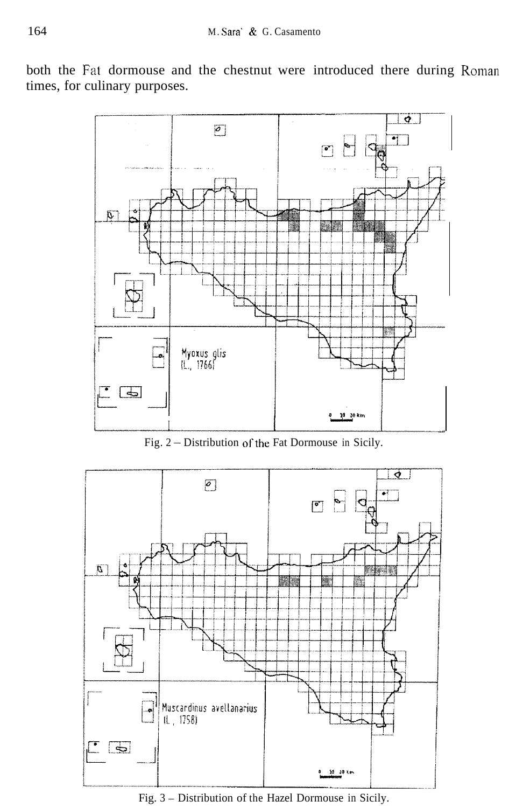both the Fat dormouse and the chestnut were introduced there during Roman times, for culinary purposes.



Fig. 2 - Distribution of the Fat Dormouse in Sicily.



Fig. 3 - Distribution of the Hazel Dormouse in Sicily.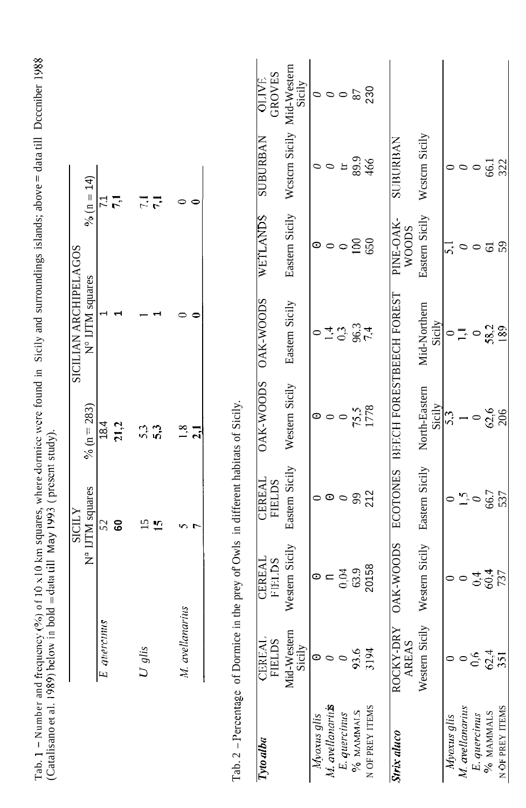|                                          |             |      |          |           |                 |              |                                                                                     | <b>GROVES</b><br><b>OLIVE</b>  | Western Sicily Mid-Western<br>Sicily |             | $\frac{22}{380}$ ០០០                                      |              |                   |                 |                                 |                         |                   |                |              |                               |                 |
|------------------------------------------|-------------|------|----------|-----------|-----------------|--------------|-------------------------------------------------------------------------------------|--------------------------------|--------------------------------------|-------------|-----------------------------------------------------------|--------------|-------------------|-----------------|---------------------------------|-------------------------|-------------------|----------------|--------------|-------------------------------|-----------------|
| $\frac{9}{6}$ (n = 14)                   |             | にご   |          | 7.1       | 0               | $\bullet$    |                                                                                     | <b>NARINE CONTROL</b>          |                                      |             | $\circ$ $\circ$                                           | $\mathbf{H}$ | 89.9              |                 | <b>SUBURBAN</b>                 | Western Sicily          | 0                 | $\circ$        | $\circ$      |                               | 66.1<br>322     |
|                                          |             |      |          |           |                 |              |                                                                                     | WETLANDS                       | Eastern Sicily                       |             | $\circ \circ \circ$                                       |              | $\frac{100}{650}$ |                 | <b>AVO-SNId</b><br><b>WOODS</b> | Eastern Sicily          |                   | $\circ$        | $\circ$      | $\overline{5}$                |                 |
| SICILIAN ARCHIPELAGOS<br>N° IJTM squares |             |      |          |           |                 |              |                                                                                     | <b>OAK-WOODS</b>               | Eastern Sicily                       | $\circ$     | $14.3$<br>$96.3$                                          |              |                   |                 |                                 | Mid-Northern<br>Sicily  | $\circ$ $\exists$ |                | $\circ$      | 58,2                          |                 |
| % ( $n = 283$ )                          | 18.4        | 21,2 |          | 53<br>53  |                 | $1,8$<br>2.1 |                                                                                     | <b>OAK-WOODS</b>               | Western Sicily                       |             | $\circ \circ \circ$                                       |              |                   | 75,5<br>1778    | BEECH FORESTBEECH FOREST        | North-Eastern<br>Sicily | $\frac{5}{3}$     |                | $\circ$      | $62,6$<br>$206$               |                 |
| N° IJTM squares<br>SICILY                | 52          | 60   |          | <b>25</b> | s               | <b>T</b>     |                                                                                     | CEREAL<br><b>FIELDS</b>        | Eastern Sicily                       |             | 00082                                                     |              |                   |                 | <b>ECOTONES</b>                 | Eastern Sicily          | $\circ$           |                |              | $\frac{15}{0}$<br>66.7<br>537 |                 |
|                                          |             |      |          |           |                 |              |                                                                                     | <b>CEREAL</b><br><b>FIELDS</b> | Western Sicily                       |             | $\circ$ = $\frac{3}{3}$<br>$\frac{3}{3}$<br>$\frac{3}{3}$ |              |                   |                 | <b>OAK-WOODS</b>                | Western Sicily          | $\circ$           | $\circ$        |              | $0.37$<br>$7.4$<br>$7.4$      |                 |
|                                          | E quercinus |      | $U$ glis |           | M. avellanarius |              |                                                                                     | <b>CEREAL</b><br><b>FIELDS</b> | Mid-Western<br>Sicily                |             |                                                           |              | 93.6              | 3194            | ROCKY-DRY<br>AREAS              | Western Sicily          |                   | $\circ$        | 0,6          | $62,4$<br>351                 |                 |
|                                          |             |      |          |           |                 |              | Tab. 2 - Percentage of Dormice in the prey of Owls in different habitats of Sicily. | Tyto alba                      |                                      | Myoxus glis | M. avellanariiks                                          | E. quercinus | % MAMMALS         | N OF PREY ITEMS | Strix aluco                     |                         | Myoxus glis       | M avellanarius | E. quercinus | % MAMMALS                     | N OF PREY ITEMS |

Tab. I - Number and frequency (%) of I0 s10 kin squares, where dorinicc were found in Sicily and surroundings islands; above = data till Dcccniber 1988 Tab. 1 – Number and frequency (%) of 10 x10 km squares, where dormice were found in Sicily and surroundings islands; above = data till Deceniber 1988<br>(Catalisanoet al. 1989) below in bold = data till May 1993 (present stud (Catalisano et al. 1989) below in bold = data (ill May 1993 ( present study).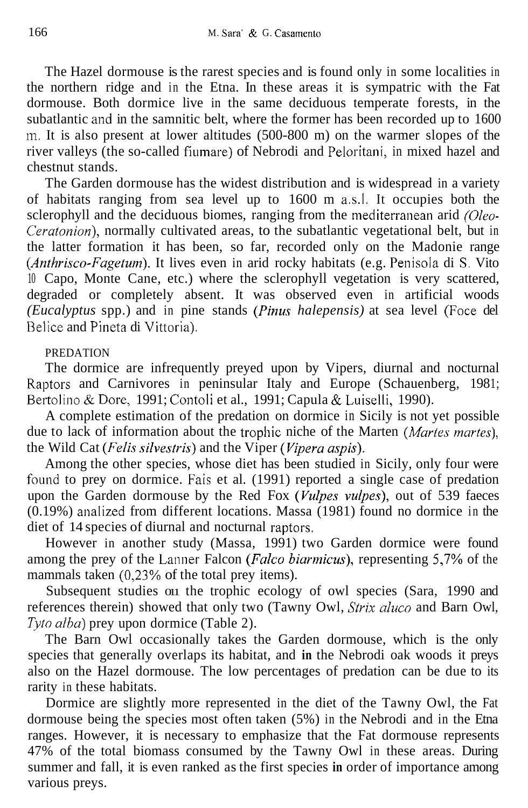The Hazel dormouse is the rarest species and is found only in some localities in the northern ridge and in the Etna. In these areas it is sympatric with the Fat dormouse. Both dormice live in the same deciduous temperate forests, in the subatlantic and in the samnitic belt, where the former has been recorded up to 1600 in. It is also present at lower altitudes (500-800 m) on the warmer slopes of the river valleys (the so-called fiumare) of Nebrodi and Peloritani, in mixed hazel and chestnut stands.

The Garden dormouse has the widest distribution and is widespread in a variety of habitats ranging from sea level up to 1600 m a.s.1. It occupies both the sclerophyll and the deciduous biomes, ranging from the mediterranean arid *(Oleo-Ceratonion),* normally cultivated areas, to the subatlantic vegetational belt, but in the latter formation it has been, so far, recorded only on the Madonie range *(Anthrisco-Fagetum)*. It lives even in arid rocky habitats (e.g. Penisola di S. Vito 10 Capo, Monte Cane, etc.) where the sclerophyll vegetation is very scattered, degraded or completely absent. It was observed even in artificial woods *(Eucalyptus* spp.) and in pine stands *(Pinus halepensis)* at sea level (Foce del Belice and Pineta di Vittoria).

### PREDATION

The dormice are infrequently preyed upon by Vipers, diurnal and nocturnal Raptors and Carnivores in peninsular Italy and Europe (Schauenberg, 1981; Bertolino & Dore, 1991; Contoli et al., 1991; Capula & Luiselli, 1990).

A complete estimation of the predation on dormice in Sicily is not yet possible due to lack of information about the trophic niche of the Marten *(Martes martes)*, the Wild Cat *(Felis silvesfris)* and the Viper *(Vipera aspis).* 

Among the other species, whose diet has been studied in Sicily, only four were found to prey on dormice. Fais et al. (1991) reported a single case of predation upon the Garden dormouse by the Red Fox *(Vulpes vulpes),* out of 539 faeces  $(0.19%)$  analized from different locations. Massa  $(1981)$  found no dormice in the diet of 14 species of diurnal and nocturnal raptors.

However in another study (Massa, 1991) two Garden dormice were found among the prey of the Lanner Falcon *(Falco biarmicus)*, representing 5,7% of the mammals taken (0,23% of the total prey items).

Subsequent studies on the trophic ecology of owl species (Sara, 1990 and references therein) showed that only two (Tawny Owl, *Strix aluco* and Barn Owl, *Tyro alba)* prey upon dormice (Table 2).

The Barn Owl occasionally takes the Garden dormouse, which is the only species that generally overlaps its habitat, and **in** the Nebrodi oak woods it preys also on the Hazel dormouse. The low percentages of predation can be due to its rarity in these habitats.

Dormice are slightly more represented in the diet of the Tawny Owl, the Fat dormouse being the species most often taken (5%) in the Nebrodi and in the Etna ranges. However, it is necessary to emphasize that the Fat dormouse represents 47% of the total biomass consumed by the Tawny Owl in these areas. During summer and fall, it is even ranked as the first species **in** order of importance among various preys.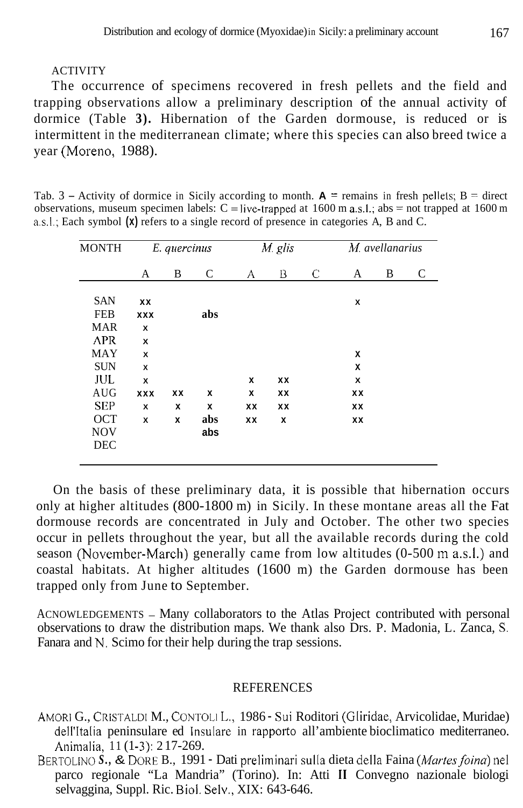#### ACTIVITY

The occurrence of specimens recovered in fresh pellets and the field and trapping observations allow a preliminary description of the annual activity of dormice (Table **3).** Hibernation of the Garden dormouse, is reduced or is intermittent in the mediterranean climate; where this species can also breed twice a year (Moreno, 1988).

Tab.  $3 -$  Activity of dormice in Sicily according to month.  $A =$  remains in fresh pellets;  $B =$  direct observations, museum specimen labels:  $C = live$ -trapped at 1600 m a.s.l.; abs = not trapped at 1600 m a.s.1.; Each symbol **(x)** refers to a single record of presence in categories A, B and C.

| C | A<br>x | B | C |
|---|--------|---|---|
|   |        |   |   |
|   |        |   |   |
|   |        |   |   |
|   |        |   |   |
|   |        |   |   |
|   | x      |   |   |
|   | x      |   |   |
|   | x      |   |   |
|   | xх     |   |   |
|   | xх     |   |   |
|   | XX     |   |   |
|   |        |   |   |
|   |        |   |   |
|   |        |   |   |

On the basis of these preliminary data, it is possible that hibernation occurs only at higher altitudes (800-1800 m) in Sicily. In these montane areas all the Fat dormouse records are concentrated in July and October. The other two species occur in pellets throughout the year, but all the available records during the cold season (November-March) generally came from low altitudes (0-500 m a.s.l.) and coastal habitats. At higher altitudes (1600 m) the Garden dormouse has been trapped only from June to September.

ACNOWLEDGEMENTS - Many collaborators to the Atlas Project contributed with personal observations to draw the distribution maps. We thank also Drs. P. Madonia, L. Zanca, S. Fanara and N. Scimo for their help during the trap sessions.

#### **REFERENCES**

- AMOR1 G., CRISTALDI M., CONTOLI L., 1986 Sui Roditori (Gliridae, Arvicolidae, Muridae) dell'Italia peninsulare ed Insulare in rapporto all'ambiente bioclimatico mediterraneo. Animalia, 11 (1-3): 217-269.
- BERTOLINO S., & DORE B., 1991 Dati preliminari sulla dieta della Faina *(Martes foina*) nel parco regionale "La Mandria" (Torino). In: Atti **I1** Convegno nazionale biologi selvaggina, Suppl. Ric. Biol. Selv., XIX: 643-646.